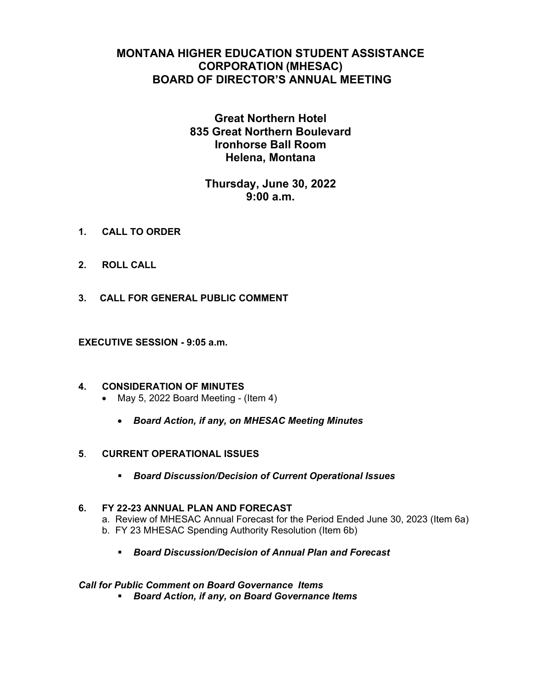# **MONTANA HIGHER EDUCATION STUDENT ASSISTANCE CORPORATION (MHESAC) BOARD OF DIRECTOR'S ANNUAL MEETING**

# **Great Northern Hotel 835 Great Northern Boulevard Ironhorse Ball Room Helena, Montana**

# **Thursday, June 30, 2022 9:00 a.m.**

- **1. CALL TO ORDER**
- **2. ROLL CALL**
- **3. CALL FOR GENERAL PUBLIC COMMENT**

**EXECUTIVE SESSION - 9:05 a.m.** 

- **4. CONSIDERATION OF MINUTES** 
	- $\bullet$  May 5, 2022 Board Meeting (Item 4)
		- *Board Action, if any, on MHESAC Meeting Minutes*
- **5**. **CURRENT OPERATIONAL ISSUES** 
	- *Board Discussion/Decision of Current Operational Issues*

## **6. FY 22-23 ANNUAL PLAN AND FORECAST**  a. Review of MHESAC Annual Forecast for the Period Ended June 30, 2023 (Item 6a) b. FY 23 MHESAC Spending Authority Resolution (Item 6b)

*Board Discussion/Decision of Annual Plan and Forecast* 

#### *Call for Public Comment on Board Governance Items*

*Board Action, if any, on Board Governance Items*